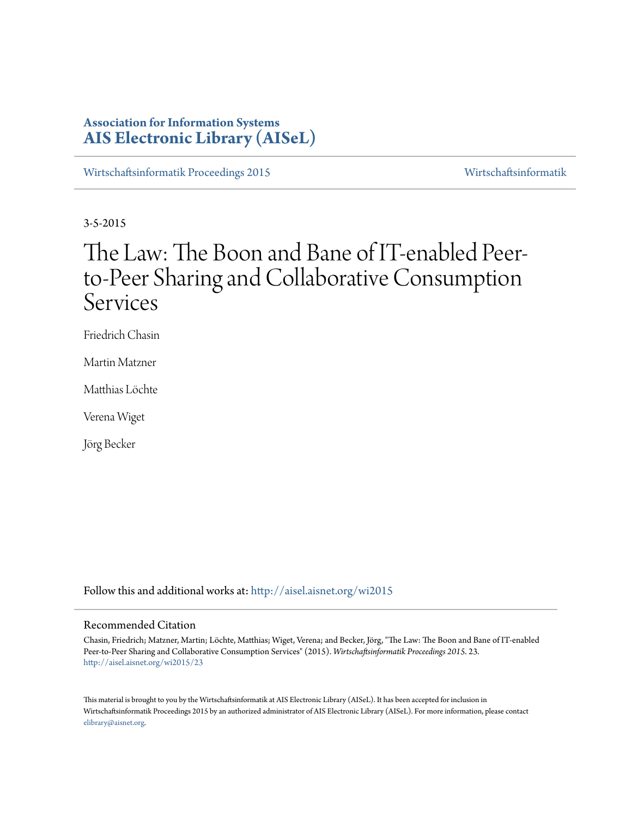# **Association for Information Systems [AIS Electronic Library \(AISeL\)](http://aisel.aisnet.org?utm_source=aisel.aisnet.org%2Fwi2015%2F23&utm_medium=PDF&utm_campaign=PDFCoverPages)**

[Wirtschaftsinformatik Proceedings 2015](http://aisel.aisnet.org/wi2015?utm_source=aisel.aisnet.org%2Fwi2015%2F23&utm_medium=PDF&utm_campaign=PDFCoverPages) [Wirtschaftsinformatik](http://aisel.aisnet.org/wi?utm_source=aisel.aisnet.org%2Fwi2015%2F23&utm_medium=PDF&utm_campaign=PDFCoverPages)

3-5-2015

# The Law: The Boon and Bane of IT-enabled Peerto-Peer Sharing and Collaborative Consumption Services

Friedrich Chasin

Martin Matzner

Matthias Löchte

Verena Wiget

Jörg Becker

Follow this and additional works at: [http://aisel.aisnet.org/wi2015](http://aisel.aisnet.org/wi2015?utm_source=aisel.aisnet.org%2Fwi2015%2F23&utm_medium=PDF&utm_campaign=PDFCoverPages)

# Recommended Citation

Chasin, Friedrich; Matzner, Martin; Löchte, Matthias; Wiget, Verena; and Becker, Jörg, "The Law: The Boon and Bane of IT-enabled Peer-to-Peer Sharing and Collaborative Consumption Services" (2015). *Wirtschaftsinformatik Proceedings 2015*. 23. [http://aisel.aisnet.org/wi2015/23](http://aisel.aisnet.org/wi2015/23?utm_source=aisel.aisnet.org%2Fwi2015%2F23&utm_medium=PDF&utm_campaign=PDFCoverPages)

This material is brought to you by the Wirtschaftsinformatik at AIS Electronic Library (AISeL). It has been accepted for inclusion in Wirtschaftsinformatik Proceedings 2015 by an authorized administrator of AIS Electronic Library (AISeL). For more information, please contact [elibrary@aisnet.org.](mailto:elibrary@aisnet.org%3E)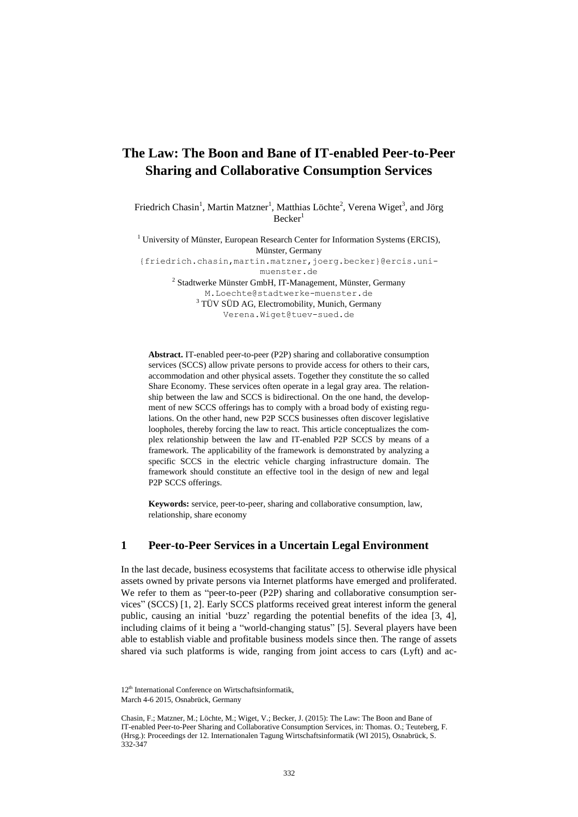# **The Law: The Boon and Bane of IT-enabled Peer-to-Peer Sharing and Collaborative Consumption Services**

Friedrich Chasin<sup>1</sup>, Martin Matzner<sup>1</sup>, Matthias Löchte<sup>2</sup>, Verena Wiget<sup>3</sup>, and Jörg  $Becker<sup>1</sup>$ 

<sup>1</sup> University of Münster, European Research Center for Information Systems (ERCIS), Münster, Germany

{friedrich.chasin,martin.matzner,joerg.becker}@ercis.unimuenster.de

<sup>2</sup> Stadtwerke Münster GmbH, IT-Management, Münster, Germany M.Loechte@stadtwerke-muenster.de <sup>3</sup> TÜV SÜD AG, Electromobility, Munich, Germany

Verena.Wiget@tuev-sued.de

**Abstract.** IT-enabled peer-to-peer (P2P) sharing and collaborative consumption services (SCCS) allow private persons to provide access for others to their cars, accommodation and other physical assets. Together they constitute the so called Share Economy. These services often operate in a legal gray area. The relationship between the law and SCCS is bidirectional. On the one hand, the development of new SCCS offerings has to comply with a broad body of existing regulations. On the other hand, new P2P SCCS businesses often discover legislative loopholes, thereby forcing the law to react. This article conceptualizes the complex relationship between the law and IT-enabled P2P SCCS by means of a framework. The applicability of the framework is demonstrated by analyzing a specific SCCS in the electric vehicle charging infrastructure domain. The framework should constitute an effective tool in the design of new and legal P2P SCCS offerings.

**Keywords:** service, peer-to-peer, sharing and collaborative consumption, law, relationship, share economy

#### **1 Peer-to-Peer Services in a Uncertain Legal Environment**

In the last decade, business ecosystems that facilitate access to otherwise idle physical assets owned by private persons via Internet platforms have emerged and proliferated. We refer to them as "peer-to-peer (P2P) sharing and collaborative consumption services" (SCCS) [1, 2]. Early SCCS platforms received great interest inform the general public, causing an initial 'buzz' regarding the potential benefits of the idea [3, 4], including claims of it being a "world-changing status" [5]. Several players have been able to establish viable and profitable business models since then. The range of assets shared via such platforms is wide, ranging from joint access to cars (Lyft) and ac-

<sup>12&</sup>lt;sup>th</sup> International Conference on Wirtschaftsinformatik. March 4-6 2015, Osnabrück, Germany

Chasin, F.; Matzner, M.; Löchte, M.; Wiget, V.; Becker, J. (2015): The Law: The Boon and Bane of IT-enabled Peer-to-Peer Sharing and Collaborative Consumption Services, in: Thomas. O.; Teuteberg, F. (Hrsg.): Proceedings der 12. Internationalen Tagung Wirtschaftsinformatik (WI 2015), Osnabrück, S. 332-347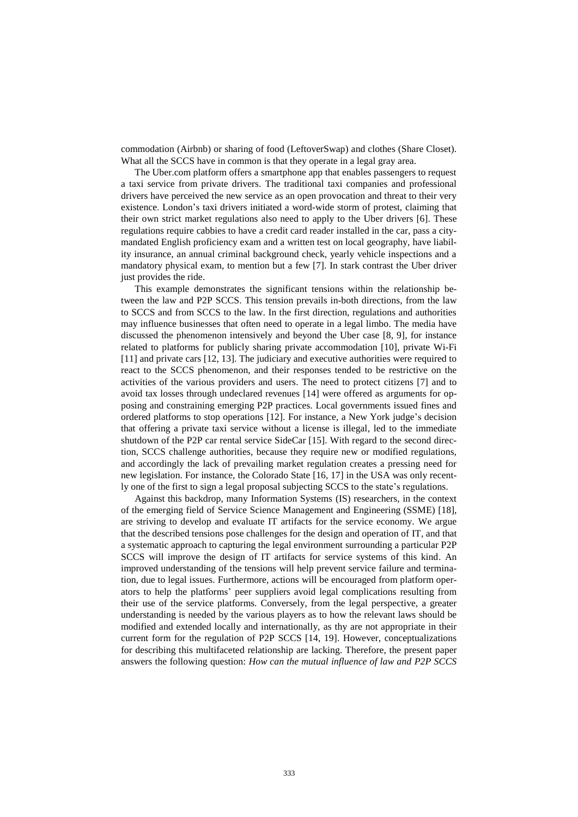commodation (Airbnb) or sharing of food (LeftoverSwap) and clothes (Share Closet). What all the SCCS have in common is that they operate in a legal gray area.

The Uber.com platform offers a smartphone app that enables passengers to request a taxi service from private drivers. The traditional taxi companies and professional drivers have perceived the new service as an open provocation and threat to their very existence. London's taxi drivers initiated a word-wide storm of protest, claiming that their own strict market regulations also need to apply to the Uber drivers [6]. These regulations require cabbies to have a credit card reader installed in the car, pass a citymandated English proficiency exam and a written test on local geography, have liability insurance, an annual criminal background check, yearly vehicle inspections and a mandatory physical exam, to mention but a few [7]. In stark contrast the Uber driver just provides the ride.

This example demonstrates the significant tensions within the relationship between the law and P2P SCCS. This tension prevails in-both directions, from the law to SCCS and from SCCS to the law. In the first direction, regulations and authorities may influence businesses that often need to operate in a legal limbo. The media have discussed the phenomenon intensively and beyond the Uber case [8, 9], for instance related to platforms for publicly sharing private accommodation [10], private Wi-Fi [11] and private cars [12, 13]. The judiciary and executive authorities were required to react to the SCCS phenomenon, and their responses tended to be restrictive on the activities of the various providers and users. The need to protect citizens [7] and to avoid tax losses through undeclared revenues [14] were offered as arguments for opposing and constraining emerging P2P practices. Local governments issued fines and ordered platforms to stop operations [12]. For instance, a New York judge's decision that offering a private taxi service without a license is illegal, led to the immediate shutdown of the P2P car rental service SideCar [15]. With regard to the second direction, SCCS challenge authorities, because they require new or modified regulations, and accordingly the lack of prevailing market regulation creates a pressing need for new legislation. For instance, the Colorado State [16, 17] in the USA was only recently one of the first to sign a legal proposal subjecting SCCS to the state's regulations.

Against this backdrop, many Information Systems (IS) researchers, in the context of the emerging field of Service Science Management and Engineering (SSME) [18], are striving to develop and evaluate IT artifacts for the service economy. We argue that the described tensions pose challenges for the design and operation of IT, and that a systematic approach to capturing the legal environment surrounding a particular P2P SCCS will improve the design of IT artifacts for service systems of this kind. An improved understanding of the tensions will help prevent service failure and termination, due to legal issues. Furthermore, actions will be encouraged from platform operators to help the platforms' peer suppliers avoid legal complications resulting from their use of the service platforms. Conversely, from the legal perspective, a greater understanding is needed by the various players as to how the relevant laws should be modified and extended locally and internationally, as thy are not appropriate in their current form for the regulation of P2P SCCS [14, 19]. However, conceptualizations for describing this multifaceted relationship are lacking. Therefore, the present paper answers the following question: *How can the mutual influence of law and P2P SCCS*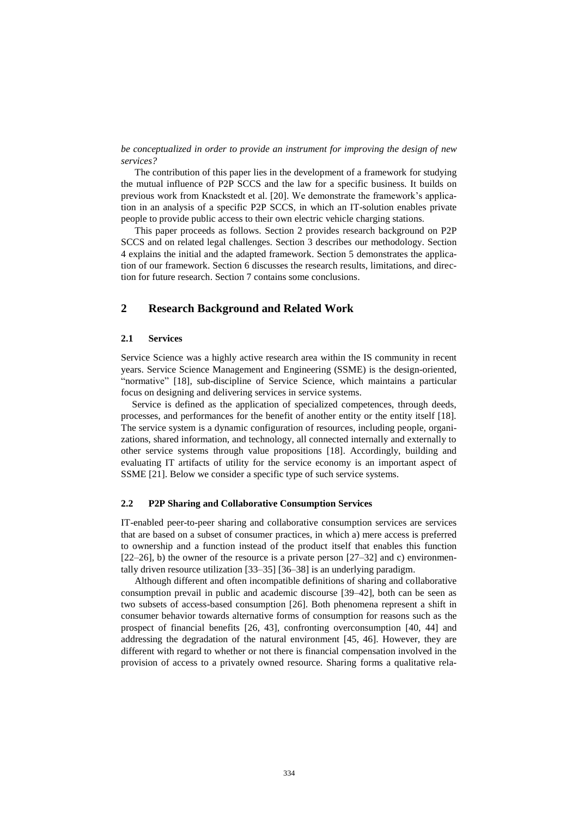*be conceptualized in order to provide an instrument for improving the design of new services?*

The contribution of this paper lies in the development of a framework for studying the mutual influence of P2P SCCS and the law for a specific business. It builds on previous work from Knackstedt et al. [20]. We demonstrate the framework's application in an analysis of a specific P2P SCCS, in which an IT-solution enables private people to provide public access to their own electric vehicle charging stations.

This paper proceeds as follows. Section 2 provides research background on P2P SCCS and on related legal challenges. Section 3 describes our methodology. Section 4 explains the initial and the adapted framework. Section 5 demonstrates the application of our framework. Section 6 discusses the research results, limitations, and direction for future research. Section 7 contains some conclusions.

## **2 Research Background and Related Work**

#### **2.1 Services**

Service Science was a highly active research area within the IS community in recent years. Service Science Management and Engineering (SSME) is the design-oriented, "normative" [18], sub-discipline of Service Science, which maintains a particular focus on designing and delivering services in service systems.

Service is defined as the application of specialized competences, through deeds, processes, and performances for the benefit of another entity or the entity itself [18]. The service system is a dynamic configuration of resources, including people, organizations, shared information, and technology, all connected internally and externally to other service systems through value propositions [18]. Accordingly, building and evaluating IT artifacts of utility for the service economy is an important aspect of SSME [21]. Below we consider a specific type of such service systems.

#### **2.2 P2P Sharing and Collaborative Consumption Services**

IT-enabled peer-to-peer sharing and collaborative consumption services are services that are based on a subset of consumer practices, in which a) mere access is preferred to ownership and a function instead of the product itself that enables this function  $[22–26]$ , b) the owner of the resource is a private person  $[27–32]$  and c) environmentally driven resource utilization [33–35] [36–38] is an underlying paradigm.

Although different and often incompatible definitions of sharing and collaborative consumption prevail in public and academic discourse [39–42], both can be seen as two subsets of access-based consumption [26]. Both phenomena represent a shift in consumer behavior towards alternative forms of consumption for reasons such as the prospect of financial benefits [26, 43], confronting overconsumption [40, 44] and addressing the degradation of the natural environment [45, 46]. However, they are different with regard to whether or not there is financial compensation involved in the provision of access to a privately owned resource. Sharing forms a qualitative rela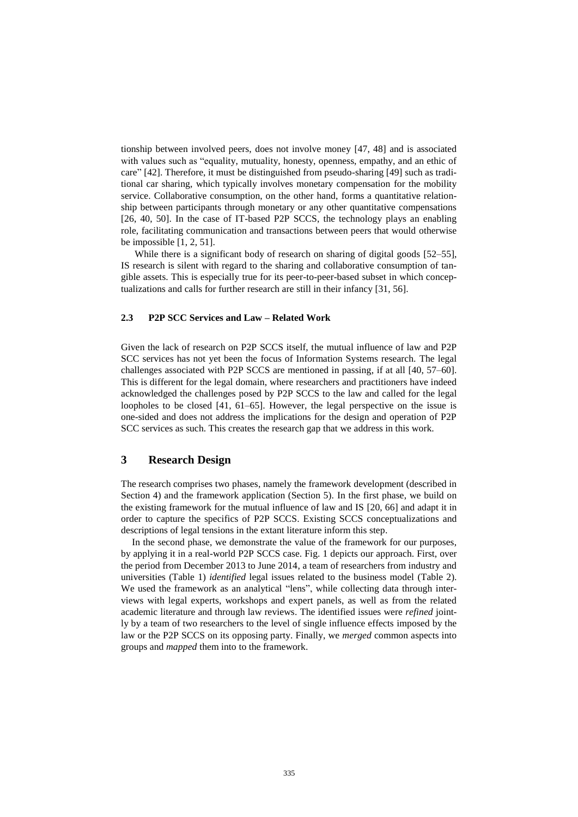tionship between involved peers, does not involve money [47, 48] and is associated with values such as "equality, mutuality, honesty, openness, empathy, and an ethic of care" [42]. Therefore, it must be distinguished from pseudo-sharing [49] such as traditional car sharing, which typically involves monetary compensation for the mobility service. Collaborative consumption, on the other hand, forms a quantitative relationship between participants through monetary or any other quantitative compensations [26, 40, 50]. In the case of IT-based P2P SCCS, the technology plays an enabling role, facilitating communication and transactions between peers that would otherwise be impossible [1, 2, 51].

While there is a significant body of research on sharing of digital goods [52–55]. IS research is silent with regard to the sharing and collaborative consumption of tangible assets. This is especially true for its peer-to-peer-based subset in which conceptualizations and calls for further research are still in their infancy [31, 56].

#### **2.3 P2P SCC Services and Law – Related Work**

Given the lack of research on P2P SCCS itself, the mutual influence of law and P2P SCC services has not yet been the focus of Information Systems research. The legal challenges associated with P2P SCCS are mentioned in passing, if at all [40, 57–60]. This is different for the legal domain, where researchers and practitioners have indeed acknowledged the challenges posed by P2P SCCS to the law and called for the legal loopholes to be closed [41, 61–65]. However, the legal perspective on the issue is one-sided and does not address the implications for the design and operation of P2P SCC services as such. This creates the research gap that we address in this work.

# **3 Research Design**

The research comprises two phases, namely the framework development (described in Section 4) and the framework application (Section 5). In the first phase, we build on the existing framework for the mutual influence of law and IS [20, 66] and adapt it in order to capture the specifics of P2P SCCS. Existing SCCS conceptualizations and descriptions of legal tensions in the extant literature inform this step.

In the second phase, we demonstrate the value of the framework for our purposes, by applying it in a real-world P2P SCCS case. Fig. 1 depicts our approach. First, over the period from December 2013 to June 2014, a team of researchers from industry and universities (Table 1) *identified* legal issues related to the business model (Table 2). We used the framework as an analytical "lens", while collecting data through interviews with legal experts, workshops and expert panels, as well as from the related academic literature and through law reviews. The identified issues were *refined* jointly by a team of two researchers to the level of single influence effects imposed by the law or the P2P SCCS on its opposing party. Finally, we *merged* common aspects into groups and *mapped* them into to the framework.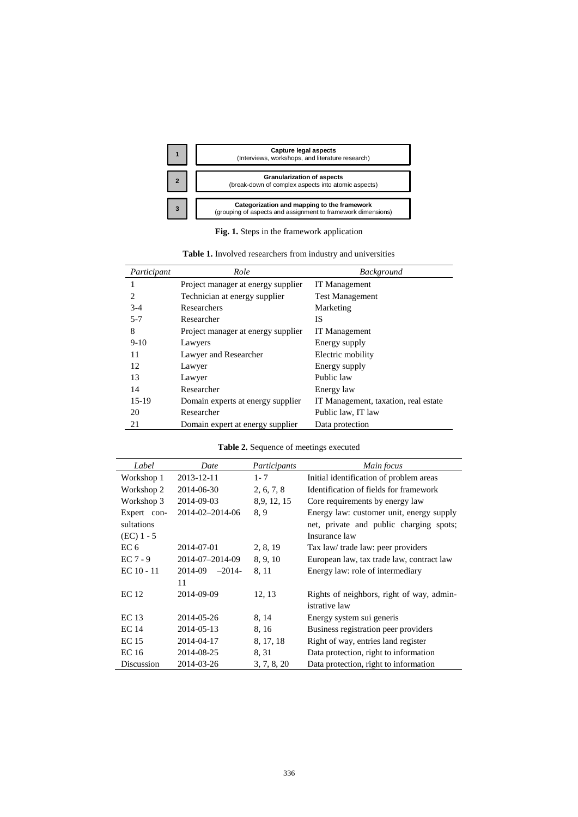

**Fig. 1.** Steps in the framework application

| Participant | Role                               | <b>Background</b>                    |
|-------------|------------------------------------|--------------------------------------|
|             | Project manager at energy supplier | IT Management                        |
| 2           | Technician at energy supplier      | <b>Test Management</b>               |
| $3-4$       | Researchers                        | Marketing                            |
| $5 - 7$     | Researcher                         | IS                                   |
| 8           | Project manager at energy supplier | IT Management                        |
| $9-10$      | Lawyers                            | Energy supply                        |
| 11          | Lawyer and Researcher              | Electric mobility                    |
| 12          | Lawyer                             | Energy supply                        |
| 13          | Lawyer                             | Public law                           |
| 14          | Researcher                         | Energy law                           |
| $15-19$     | Domain experts at energy supplier  | IT Management, taxation, real estate |
| 20          | Researcher                         | Public law, IT law                   |
| 21          | Domain expert at energy supplier   | Data protection                      |

**Table 1.** Involved researchers from industry and universities

# **Table 2.** Sequence of meetings executed

| Label           | Date               | Participants | Main focus                                |
|-----------------|--------------------|--------------|-------------------------------------------|
| Workshop 1      | 2013-12-11         | $1 - 7$      | Initial identification of problem areas   |
| Workshop 2      | 2014-06-30         | 2, 6, 7, 8   | Identification of fields for framework    |
| Workshop 3      | 2014-09-03         | 8, 9, 12, 15 | Core requirements by energy law           |
| Expert con-     | 2014-02-2014-06    | 8.9          | Energy law: customer unit, energy supply  |
| sultations      |                    |              | net, private and public charging spots;   |
| $(EC)$ 1 - 5    |                    |              | Insurance law                             |
| EC <sub>6</sub> | 2014-07-01         | 2, 8, 19     | Tax law/ trade law: peer providers        |
| $EC 7 - 9$      | 2014-07-2014-09    | 8, 9, 10     | European law, tax trade law, contract law |
| $EC 10 - 11$    | $2014-09$ $-2014-$ | 8, 11        | Energy law: role of intermediary          |
|                 | 11                 |              |                                           |
| EC 12           | 2014-09-09         | 12, 13       | Rights of neighbors, right of way, admin- |
|                 |                    |              | istrative law                             |
| EC 13           | 2014-05-26         | 8, 14        | Energy system sui generis                 |
| EC 14           | 2014-05-13         | 8, 16        | Business registration peer providers      |
| <b>EC</b> 15    | 2014-04-17         | 8, 17, 18    | Right of way, entries land register       |
| <b>EC</b> 16    | 2014-08-25         | 8, 31        | Data protection, right to information     |
| Discussion      | 2014-03-26         | 3, 7, 8, 20  | Data protection, right to information     |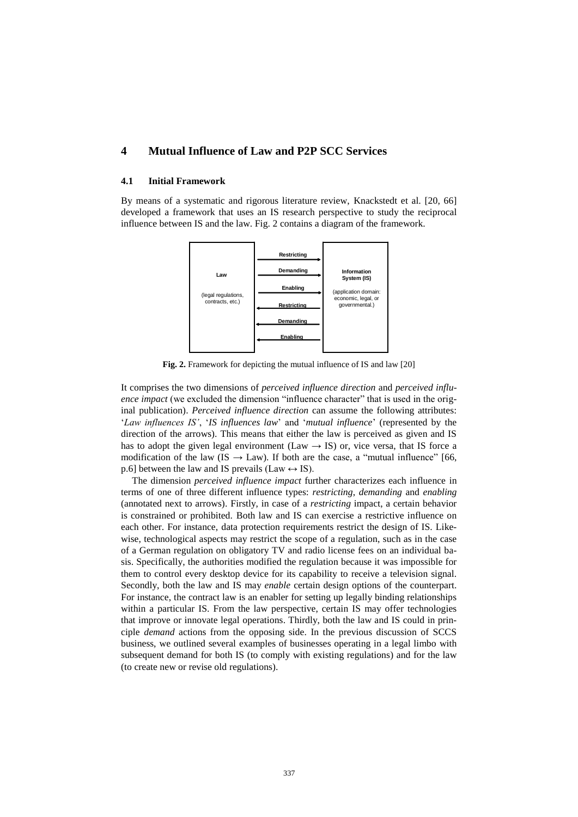# **4 Mutual Influence of Law and P2P SCC Services**

#### **4.1 Initial Framework**

By means of a systematic and rigorous literature review, Knackstedt et al. [20, 66] developed a framework that uses an IS research perspective to study the reciprocal influence between IS and the law. Fig. 2 contains a diagram of the framework.



**Fig. 2.** Framework for depicting the mutual influence of IS and law [20]

It comprises the two dimensions of *perceived influence direction* and *perceived influence impact* (we excluded the dimension "influence character" that is used in the original publication). *Perceived influence direction* can assume the following attributes: '*Law influences IS'*, '*IS influences law*' and '*mutual influence*' (represented by the direction of the arrows). This means that either the law is perceived as given and IS has to adopt the given legal environment (Law  $\rightarrow$  IS) or, vice versa, that IS force a modification of the law (IS  $\rightarrow$  Law). If both are the case, a "mutual influence" [66, p.6] between the law and IS prevails (Law  $\leftrightarrow$  IS).

The dimension *perceived influence impact* further characterizes each influence in terms of one of three different influence types: *restricting*, *demanding* and *enabling* (annotated next to arrows). Firstly, in case of a *restricting* impact, a certain behavior is constrained or prohibited. Both law and IS can exercise a restrictive influence on each other. For instance, data protection requirements restrict the design of IS. Likewise, technological aspects may restrict the scope of a regulation, such as in the case of a German regulation on obligatory TV and radio license fees on an individual basis. Specifically, the authorities modified the regulation because it was impossible for them to control every desktop device for its capability to receive a television signal. Secondly, both the law and IS may *enable* certain design options of the counterpart. For instance, the contract law is an enabler for setting up legally binding relationships within a particular IS. From the law perspective, certain IS may offer technologies that improve or innovate legal operations. Thirdly, both the law and IS could in principle *demand* actions from the opposing side. In the previous discussion of SCCS business, we outlined several examples of businesses operating in a legal limbo with subsequent demand for both IS (to comply with existing regulations) and for the law (to create new or revise old regulations).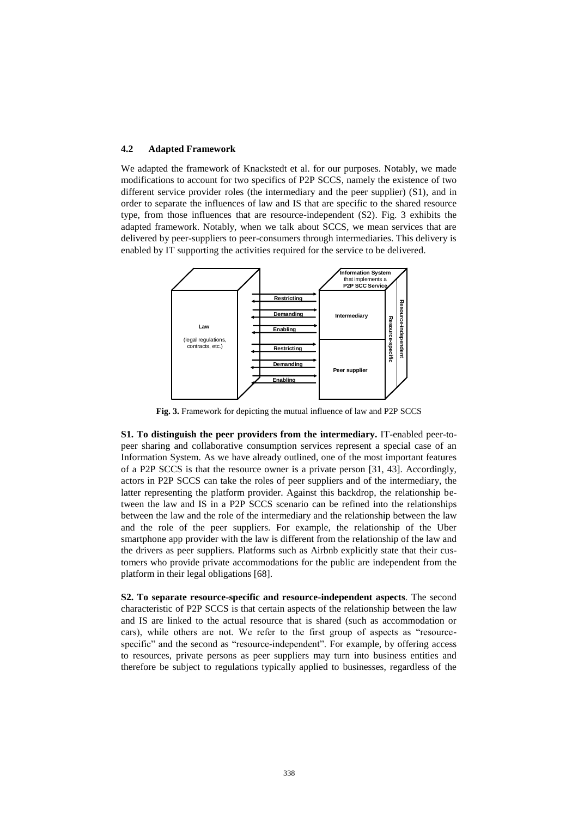#### **4.2 Adapted Framework**

We adapted the framework of Knackstedt et al. for our purposes. Notably, we made modifications to account for two specifics of P2P SCCS, namely the existence of two different service provider roles (the intermediary and the peer supplier) (S1), and in order to separate the influences of law and IS that are specific to the shared resource type, from those influences that are resource-independent (S2). Fig. 3 exhibits the adapted framework. Notably, when we talk about SCCS, we mean services that are delivered by peer-suppliers to peer-consumers through intermediaries. This delivery is enabled by IT supporting the activities required for the service to be delivered.



**Fig. 3.** Framework for depicting the mutual influence of law and P2P SCCS

**S1. To distinguish the peer providers from the intermediary.** IT-enabled peer-topeer sharing and collaborative consumption services represent a special case of an Information System. As we have already outlined, one of the most important features of a P2P SCCS is that the resource owner is a private person [31, 43]. Accordingly, actors in P2P SCCS can take the roles of peer suppliers and of the intermediary, the latter representing the platform provider. Against this backdrop, the relationship between the law and IS in a P2P SCCS scenario can be refined into the relationships between the law and the role of the intermediary and the relationship between the law and the role of the peer suppliers. For example, the relationship of the Uber smartphone app provider with the law is different from the relationship of the law and the drivers as peer suppliers. Platforms such as Airbnb explicitly state that their customers who provide private accommodations for the public are independent from the platform in their legal obligations [68].

**S2. To separate resource-specific and resource-independent aspects**. The second characteristic of P2P SCCS is that certain aspects of the relationship between the law and IS are linked to the actual resource that is shared (such as accommodation or cars), while others are not. We refer to the first group of aspects as "resourcespecific" and the second as "resource-independent". For example, by offering access to resources, private persons as peer suppliers may turn into business entities and therefore be subject to regulations typically applied to businesses, regardless of the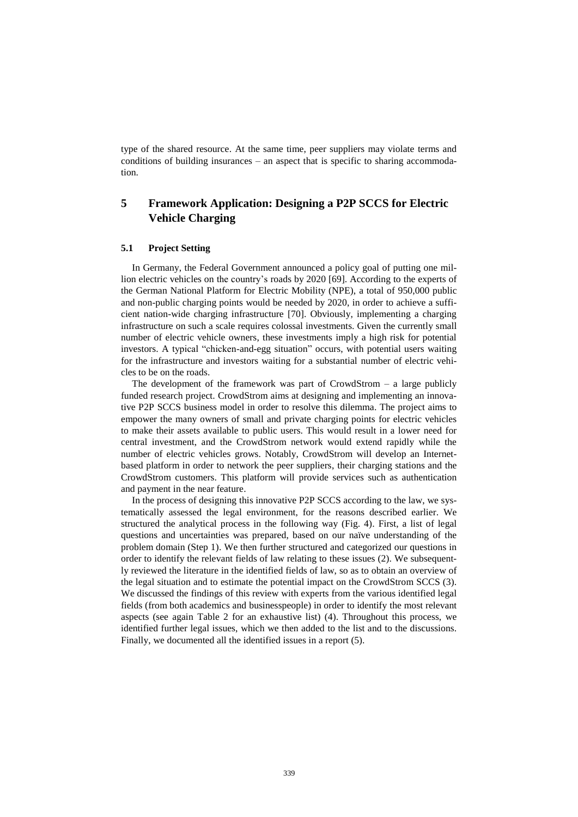type of the shared resource. At the same time, peer suppliers may violate terms and conditions of building insurances – an aspect that is specific to sharing accommodation.

# **5 Framework Application: Designing a P2P SCCS for Electric Vehicle Charging**

#### **5.1 Project Setting**

In Germany, the Federal Government announced a policy goal of putting one million electric vehicles on the country's roads by 2020 [69]. According to the experts of the German National Platform for Electric Mobility (NPE), a total of 950,000 public and non-public charging points would be needed by 2020, in order to achieve a sufficient nation-wide charging infrastructure [70]. Obviously, implementing a charging infrastructure on such a scale requires colossal investments. Given the currently small number of electric vehicle owners, these investments imply a high risk for potential investors. A typical "chicken-and-egg situation" occurs, with potential users waiting for the infrastructure and investors waiting for a substantial number of electric vehicles to be on the roads.

The development of the framework was part of  $CrowdStrom - a$  large publicly funded research project. CrowdStrom aims at designing and implementing an innovative P2P SCCS business model in order to resolve this dilemma. The project aims to empower the many owners of small and private charging points for electric vehicles to make their assets available to public users. This would result in a lower need for central investment, and the CrowdStrom network would extend rapidly while the number of electric vehicles grows. Notably, CrowdStrom will develop an Internetbased platform in order to network the peer suppliers, their charging stations and the CrowdStrom customers. This platform will provide services such as authentication and payment in the near feature.

In the process of designing this innovative P2P SCCS according to the law, we systematically assessed the legal environment, for the reasons described earlier. We structured the analytical process in the following way (Fig. 4). First, a list of legal questions and uncertainties was prepared, based on our naïve understanding of the problem domain (Step 1). We then further structured and categorized our questions in order to identify the relevant fields of law relating to these issues (2). We subsequently reviewed the literature in the identified fields of law, so as to obtain an overview of the legal situation and to estimate the potential impact on the CrowdStrom SCCS (3). We discussed the findings of this review with experts from the various identified legal fields (from both academics and businesspeople) in order to identify the most relevant aspects (see again Table 2 for an exhaustive list) (4). Throughout this process, we identified further legal issues, which we then added to the list and to the discussions. Finally, we documented all the identified issues in a report (5).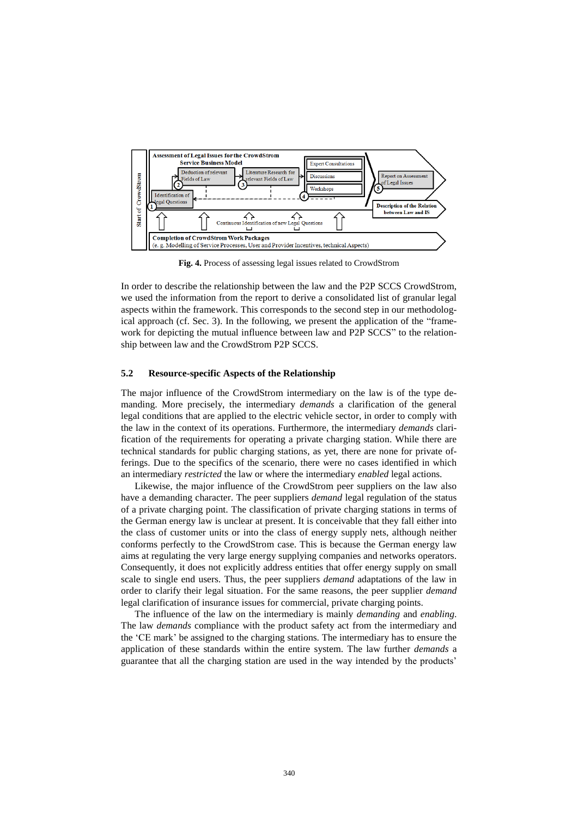

**Fig. 4.** Process of assessing legal issues related to CrowdStrom

In order to describe the relationship between the law and the P2P SCCS CrowdStrom, we used the information from the report to derive a consolidated list of granular legal aspects within the framework. This corresponds to the second step in our methodological approach (cf. Sec. 3). In the following, we present the application of the "framework for depicting the mutual influence between law and P2P SCCS" to the relationship between law and the CrowdStrom P2P SCCS.

#### **5.2 Resource-specific Aspects of the Relationship**

The major influence of the CrowdStrom intermediary on the law is of the type demanding. More precisely, the intermediary *demands* a clarification of the general legal conditions that are applied to the electric vehicle sector, in order to comply with the law in the context of its operations. Furthermore, the intermediary *demands* clarification of the requirements for operating a private charging station. While there are technical standards for public charging stations, as yet, there are none for private offerings. Due to the specifics of the scenario, there were no cases identified in which an intermediary *restricted* the law or where the intermediary *enabled* legal actions.

Likewise, the major influence of the CrowdStrom peer suppliers on the law also have a demanding character. The peer suppliers *demand* legal regulation of the status of a private charging point. The classification of private charging stations in terms of the German energy law is unclear at present. It is conceivable that they fall either into the class of customer units or into the class of energy supply nets, although neither conforms perfectly to the CrowdStrom case. This is because the German energy law aims at regulating the very large energy supplying companies and networks operators. Consequently, it does not explicitly address entities that offer energy supply on small scale to single end users. Thus, the peer suppliers *demand* adaptations of the law in order to clarify their legal situation. For the same reasons, the peer supplier *demand* legal clarification of insurance issues for commercial, private charging points.

The influence of the law on the intermediary is mainly *demanding* and *enabling*. The law *demands* compliance with the product safety act from the intermediary and the 'CE mark' be assigned to the charging stations. The intermediary has to ensure the application of these standards within the entire system. The law further *demands* a guarantee that all the charging station are used in the way intended by the products'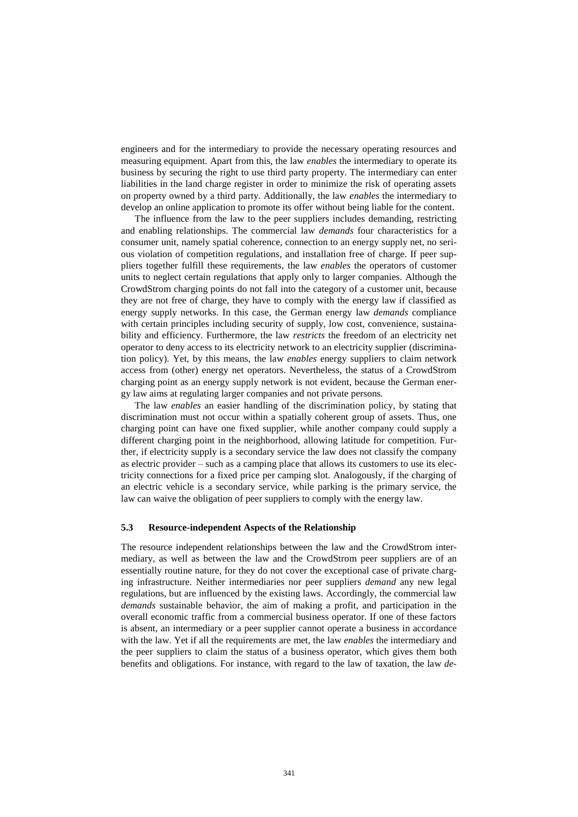engineers and for the intermediary to provide the necessary operating resources and measuring equipment. Apart from this, the law *enables* the intermediary to operate its business by securing the right to use third party property. The intermediary can enter liabilities in the land charge register in order to minimize the risk of operating assets on property owned by a third party. Additionally, the law *enables* the intermediary to develop an online application to promote its offer without being liable for the content.

The influence from the law to the peer suppliers includes demanding, restricting and enabling relationships. The commercial law *demands* four characteristics for a consumer unit, namely spatial coherence, connection to an energy supply net, no serious violation of competition regulations, and installation free of charge. If peer suppliers together fulfill these requirements, the law *enables* the operators of customer units to neglect certain regulations that apply only to larger companies. Although the CrowdStrom charging points do not fall into the category of a customer unit, because they are not free of charge, they have to comply with the energy law if classified as energy supply networks. In this case, the German energy law *demands* compliance with certain principles including security of supply, low cost, convenience, sustainability and efficiency. Furthermore, the law *restricts* the freedom of an electricity net operator to deny access to its electricity network to an electricity supplier (discrimination policy). Yet, by this means, the law *enables* energy suppliers to claim network access from (other) energy net operators. Nevertheless, the status of a CrowdStrom charging point as an energy supply network is not evident, because the German energy law aims at regulating larger companies and not private persons.

The law *enables* an easier handling of the discrimination policy, by stating that discrimination must not occur within a spatially coherent group of assets. Thus, one charging point can have one fixed supplier, while another company could supply a different charging point in the neighborhood, allowing latitude for competition. Further, if electricity supply is a secondary service the law does not classify the company as electric provider – such as a camping place that allows its customers to use its electricity connections for a fixed price per camping slot. Analogously, if the charging of an electric vehicle is a secondary service, while parking is the primary service, the law can waive the obligation of peer suppliers to comply with the energy law.

#### **5.3 Resource-independent Aspects of the Relationship**

The resource independent relationships between the law and the CrowdStrom intermediary, as well as between the law and the CrowdStrom peer suppliers are of an essentially routine nature, for they do not cover the exceptional case of private charging infrastructure. Neither intermediaries nor peer suppliers *demand* any new legal regulations, but are influenced by the existing laws. Accordingly, the commercial law *demands* sustainable behavior, the aim of making a profit, and participation in the overall economic traffic from a commercial business operator. If one of these factors is absent, an intermediary or a peer supplier cannot operate a business in accordance with the law. Yet if all the requirements are met, the law *enables* the intermediary and the peer suppliers to claim the status of a business operator, which gives them both benefits and obligations. For instance, with regard to the law of taxation, the law *de-*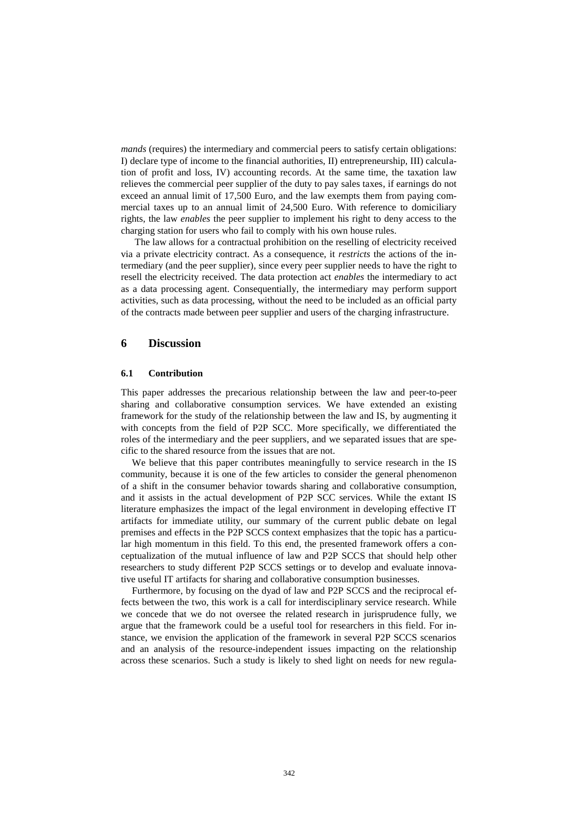*mands* (requires) the intermediary and commercial peers to satisfy certain obligations: I) declare type of income to the financial authorities, II) entrepreneurship, III) calculation of profit and loss, IV) accounting records. At the same time, the taxation law relieves the commercial peer supplier of the duty to pay sales taxes, if earnings do not exceed an annual limit of 17,500 Euro, and the law exempts them from paying commercial taxes up to an annual limit of 24,500 Euro. With reference to domiciliary rights, the law *enables* the peer supplier to implement his right to deny access to the charging station for users who fail to comply with his own house rules.

The law allows for a contractual prohibition on the reselling of electricity received via a private electricity contract. As a consequence, it *restricts* the actions of the intermediary (and the peer supplier), since every peer supplier needs to have the right to resell the electricity received. The data protection act *enables* the intermediary to act as a data processing agent. Consequentially, the intermediary may perform support activities, such as data processing, without the need to be included as an official party of the contracts made between peer supplier and users of the charging infrastructure.

#### **6 Discussion**

#### **6.1 Contribution**

This paper addresses the precarious relationship between the law and peer-to-peer sharing and collaborative consumption services. We have extended an existing framework for the study of the relationship between the law and IS, by augmenting it with concepts from the field of P2P SCC. More specifically, we differentiated the roles of the intermediary and the peer suppliers, and we separated issues that are specific to the shared resource from the issues that are not.

We believe that this paper contributes meaningfully to service research in the IS community, because it is one of the few articles to consider the general phenomenon of a shift in the consumer behavior towards sharing and collaborative consumption, and it assists in the actual development of P2P SCC services. While the extant IS literature emphasizes the impact of the legal environment in developing effective IT artifacts for immediate utility, our summary of the current public debate on legal premises and effects in the P2P SCCS context emphasizes that the topic has a particular high momentum in this field. To this end, the presented framework offers a conceptualization of the mutual influence of law and P2P SCCS that should help other researchers to study different P2P SCCS settings or to develop and evaluate innovative useful IT artifacts for sharing and collaborative consumption businesses.

Furthermore, by focusing on the dyad of law and P2P SCCS and the reciprocal effects between the two, this work is a call for interdisciplinary service research. While we concede that we do not oversee the related research in jurisprudence fully, we argue that the framework could be a useful tool for researchers in this field. For instance, we envision the application of the framework in several P2P SCCS scenarios and an analysis of the resource-independent issues impacting on the relationship across these scenarios. Such a study is likely to shed light on needs for new regula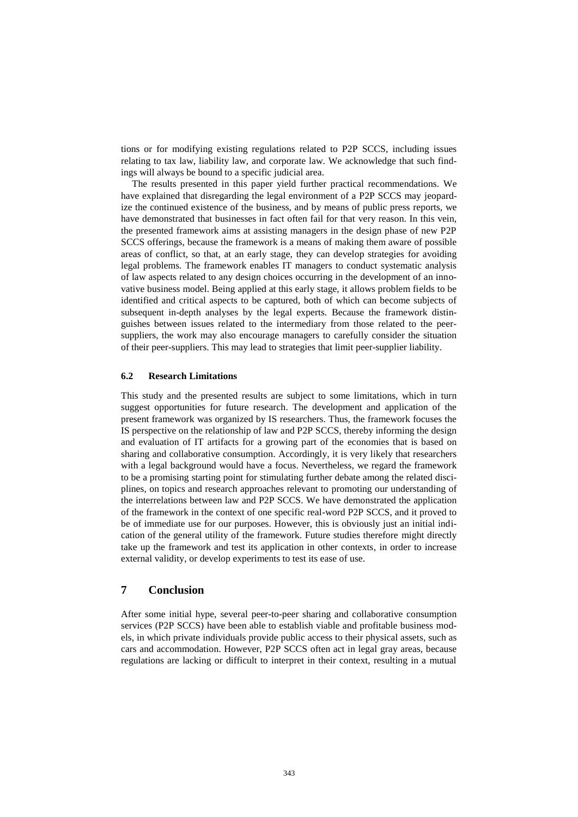tions or for modifying existing regulations related to P2P SCCS, including issues relating to tax law, liability law, and corporate law. We acknowledge that such findings will always be bound to a specific judicial area.

The results presented in this paper yield further practical recommendations. We have explained that disregarding the legal environment of a P2P SCCS may jeopardize the continued existence of the business, and by means of public press reports, we have demonstrated that businesses in fact often fail for that very reason. In this vein, the presented framework aims at assisting managers in the design phase of new P2P SCCS offerings, because the framework is a means of making them aware of possible areas of conflict, so that, at an early stage, they can develop strategies for avoiding legal problems. The framework enables IT managers to conduct systematic analysis of law aspects related to any design choices occurring in the development of an innovative business model. Being applied at this early stage, it allows problem fields to be identified and critical aspects to be captured, both of which can become subjects of subsequent in-depth analyses by the legal experts. Because the framework distinguishes between issues related to the intermediary from those related to the peersuppliers, the work may also encourage managers to carefully consider the situation of their peer-suppliers. This may lead to strategies that limit peer-supplier liability.

#### **6.2 Research Limitations**

This study and the presented results are subject to some limitations, which in turn suggest opportunities for future research. The development and application of the present framework was organized by IS researchers. Thus, the framework focuses the IS perspective on the relationship of law and P2P SCCS, thereby informing the design and evaluation of IT artifacts for a growing part of the economies that is based on sharing and collaborative consumption. Accordingly, it is very likely that researchers with a legal background would have a focus. Nevertheless, we regard the framework to be a promising starting point for stimulating further debate among the related disciplines, on topics and research approaches relevant to promoting our understanding of the interrelations between law and P2P SCCS. We have demonstrated the application of the framework in the context of one specific real-word P2P SCCS, and it proved to be of immediate use for our purposes. However, this is obviously just an initial indication of the general utility of the framework. Future studies therefore might directly take up the framework and test its application in other contexts, in order to increase external validity, or develop experiments to test its ease of use.

# **7 Conclusion**

After some initial hype, several peer-to-peer sharing and collaborative consumption services (P2P SCCS) have been able to establish viable and profitable business models, in which private individuals provide public access to their physical assets, such as cars and accommodation. However, P2P SCCS often act in legal gray areas, because regulations are lacking or difficult to interpret in their context, resulting in a mutual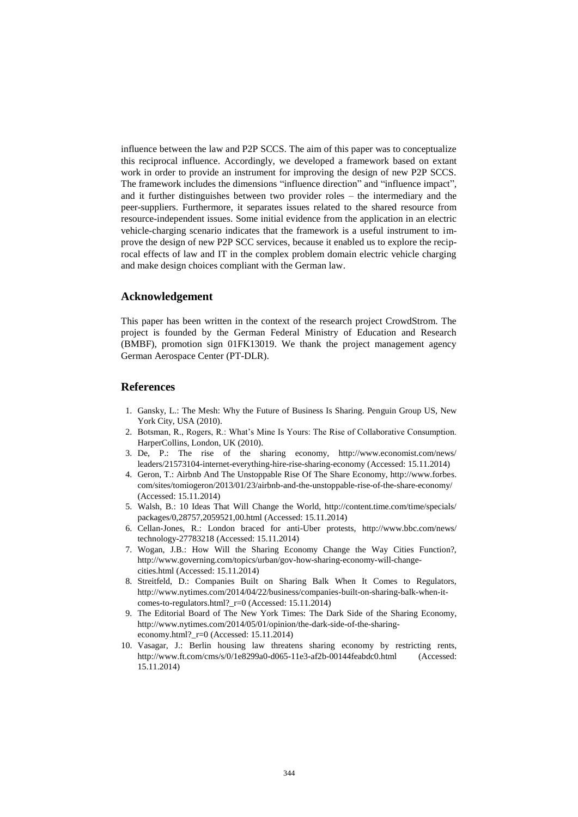influence between the law and P2P SCCS. The aim of this paper was to conceptualize this reciprocal influence. Accordingly, we developed a framework based on extant work in order to provide an instrument for improving the design of new P2P SCCS. The framework includes the dimensions "influence direction" and "influence impact", and it further distinguishes between two provider roles – the intermediary and the peer-suppliers. Furthermore, it separates issues related to the shared resource from resource-independent issues. Some initial evidence from the application in an electric vehicle-charging scenario indicates that the framework is a useful instrument to improve the design of new P2P SCC services, because it enabled us to explore the reciprocal effects of law and IT in the complex problem domain electric vehicle charging and make design choices compliant with the German law.

#### **Acknowledgement**

This paper has been written in the context of the research project CrowdStrom. The project is founded by the German Federal Ministry of Education and Research (BMBF), promotion sign 01FK13019. We thank the project management agency German Aerospace Center (PT-DLR).

## **References**

- 1. Gansky, L.: The Mesh: Why the Future of Business Is Sharing. Penguin Group US, New York City, USA (2010).
- 2. Botsman, R., Rogers, R.: What's Mine Is Yours: The Rise of Collaborative Consumption. HarperCollins, London, UK (2010).
- 3. De, P.: The rise of the sharing economy, http://www.economist.com/news/ leaders/21573104-internet-everything-hire-rise-sharing-economy (Accessed: 15.11.2014)
- 4. Geron, T.: Airbnb And The Unstoppable Rise Of The Share Economy, http://www.forbes. com/sites/tomiogeron/2013/01/23/airbnb-and-the-unstoppable-rise-of-the-share-economy/ (Accessed: 15.11.2014)
- 5. Walsh, B.: 10 Ideas That Will Change the World, http://content.time.com/time/specials/ packages/0,28757,2059521,00.html (Accessed: 15.11.2014)
- 6. Cellan-Jones, R.: London braced for anti-Uber protests, http://www.bbc.com/news/ technology-27783218 (Accessed: 15.11.2014)
- 7. Wogan, J.B.: How Will the Sharing Economy Change the Way Cities Function?, http://www.governing.com/topics/urban/gov-how-sharing-economy-will-changecities.html (Accessed: 15.11.2014)
- 8. Streitfeld, D.: Companies Built on Sharing Balk When It Comes to Regulators, http://www.nytimes.com/2014/04/22/business/companies-built-on-sharing-balk-when-itcomes-to-regulators.html?\_r=0 (Accessed: 15.11.2014)
- 9. The Editorial Board of The New York Times: The Dark Side of the Sharing Economy, http://www.nytimes.com/2014/05/01/opinion/the-dark-side-of-the-sharingeconomy.html? $r=0$  (Accessed: 15.11.2014)
- 10. Vasagar, J.: Berlin housing law threatens sharing economy by restricting rents, http://www.ft.com/cms/s/0/1e8299a0-d065-11e3-af2b-00144feabdc0.html (Accessed: 15.11.2014)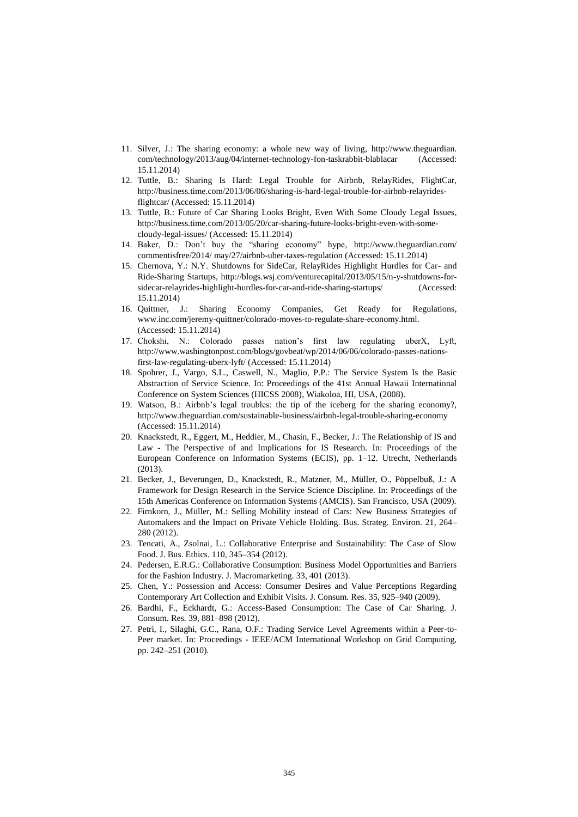- 11. Silver, J.: The sharing economy: a whole new way of living, http://www.theguardian. com/technology/2013/aug/04/internet-technology-fon-taskrabbit-blablacar (Accessed: 15.11.2014)
- 12. Tuttle, B.: Sharing Is Hard: Legal Trouble for Airbnb, RelayRides, FlightCar, http://business.time.com/2013/06/06/sharing-is-hard-legal-trouble-for-airbnb-relayridesflightcar/ (Accessed: 15.11.2014)
- 13. Tuttle, B.: Future of Car Sharing Looks Bright, Even With Some Cloudy Legal Issues, http://business.time.com/2013/05/20/car-sharing-future-looks-bright-even-with-somecloudy-legal-issues/ (Accessed: 15.11.2014)
- 14. Baker, D.: Don't buy the "sharing economy" hype, http://www.theguardian.com/ commentisfree/2014/ may/27/airbnb-uber-taxes-regulation (Accessed: 15.11.2014)
- 15. Chernova, Y.: N.Y. Shutdowns for SideCar, RelayRides Highlight Hurdles for Car- and Ride-Sharing Startups, http://blogs.wsj.com/venturecapital/2013/05/15/n-y-shutdowns-forsidecar-relayrides-highlight-hurdles-for-car-and-ride-sharing-startups/ (Accessed: 15.11.2014)
- 16. Quittner, J.: Sharing Economy Companies, Get Ready for Regulations, www.inc.com/jeremy-quittner/colorado-moves-to-regulate-share-economy.html. (Accessed: 15.11.2014)
- 17. Chokshi, N.: Colorado passes nation's first law regulating uberX, Lyft, http://www.washingtonpost.com/blogs/govbeat/wp/2014/06/06/colorado-passes-nationsfirst-law-regulating-uberx-lyft/ (Accessed: 15.11.2014)
- 18. Spohrer, J., Vargo, S.L., Caswell, N., Maglio, P.P.: The Service System Is the Basic Abstraction of Service Science. In: Proceedings of the 41st Annual Hawaii International Conference on System Sciences (HICSS 2008), Wiakoloa, HI, USA, (2008).
- 19. Watson, B.: Airbnb's legal troubles: the tip of the iceberg for the sharing economy?, http://www.theguardian.com/sustainable-business/airbnb-legal-trouble-sharing-economy (Accessed: 15.11.2014)
- 20. Knackstedt, R., Eggert, M., Heddier, M., Chasin, F., Becker, J.: The Relationship of IS and Law - The Perspective of and Implications for IS Research. In: Proceedings of the European Conference on Information Systems (ECIS), pp. 1–12. Utrecht, Netherlands (2013).
- 21. Becker, J., Beverungen, D., Knackstedt, R., Matzner, M., Müller, O., Pöppelbuß, J.: A Framework for Design Research in the Service Science Discipline. In: Proceedings of the 15th Americas Conference on Information Systems (AMCIS). San Francisco, USA (2009).
- 22. Firnkorn, J., Müller, M.: Selling Mobility instead of Cars: New Business Strategies of Automakers and the Impact on Private Vehicle Holding. Bus. Strateg. Environ. 21, 264– 280 (2012).
- 23. Tencati, A., Zsolnai, L.: Collaborative Enterprise and Sustainability: The Case of Slow Food. J. Bus. Ethics. 110, 345–354 (2012).
- 24. Pedersen, E.R.G.: Collaborative Consumption: Business Model Opportunities and Barriers for the Fashion Industry. J. Macromarketing. 33, 401 (2013).
- 25. Chen, Y.: Possession and Access: Consumer Desires and Value Perceptions Regarding Contemporary Art Collection and Exhibit Visits. J. Consum. Res. 35, 925–940 (2009).
- 26. Bardhi, F., Eckhardt, G.: Access-Based Consumption: The Case of Car Sharing. J. Consum. Res. 39, 881–898 (2012).
- 27. Petri, I., Silaghi, G.C., Rana, O.F.: Trading Service Level Agreements within a Peer-to-Peer market. In: Proceedings - IEEE/ACM International Workshop on Grid Computing, pp. 242–251 (2010).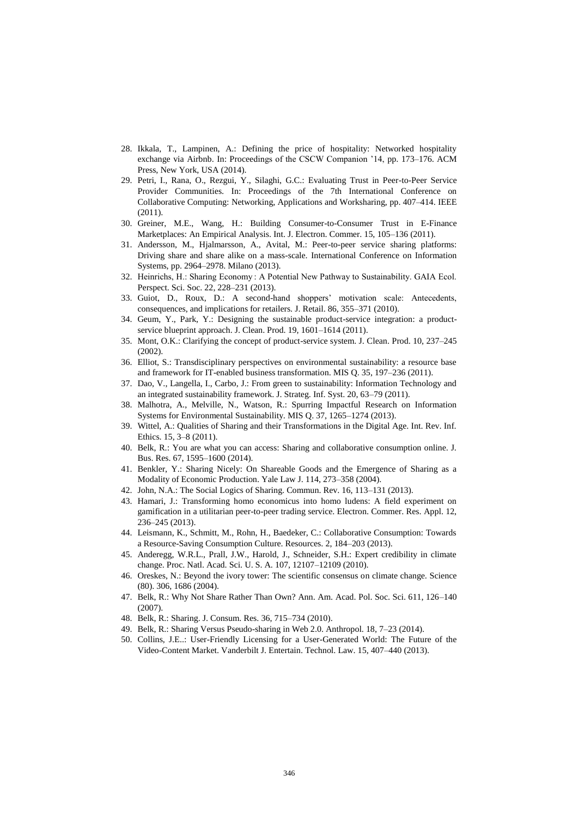- 28. Ikkala, T., Lampinen, A.: Defining the price of hospitality: Networked hospitality exchange via Airbnb. In: Proceedings of the CSCW Companion '14, pp. 173–176. ACM Press, New York, USA (2014).
- 29. Petri, I., Rana, O., Rezgui, Y., Silaghi, G.C.: Evaluating Trust in Peer-to-Peer Service Provider Communities. In: Proceedings of the 7th International Conference on Collaborative Computing: Networking, Applications and Worksharing, pp. 407–414. IEEE (2011).
- 30. Greiner, M.E., Wang, H.: Building Consumer-to-Consumer Trust in E-Finance Marketplaces: An Empirical Analysis. Int. J. Electron. Commer. 15, 105–136 (2011).
- 31. Andersson, M., Hjalmarsson, A., Avital, M.: Peer-to-peer service sharing platforms: Driving share and share alike on a mass-scale. International Conference on Information Systems, pp. 2964–2978. Milano (2013).
- 32. Heinrichs, H.: Sharing Economy : A Potential New Pathway to Sustainability. GAIA Ecol. Perspect. Sci. Soc. 22, 228–231 (2013).
- 33. Guiot, D., Roux, D.: A second-hand shoppers' motivation scale: Antecedents, consequences, and implications for retailers. J. Retail. 86, 355–371 (2010).
- 34. Geum, Y., Park, Y.: Designing the sustainable product-service integration: a productservice blueprint approach. J. Clean. Prod. 19, 1601–1614 (2011).
- 35. Mont, O.K.: Clarifying the concept of product-service system. J. Clean. Prod. 10, 237–245 (2002).
- 36. Elliot, S.: Transdisciplinary perspectives on environmental sustainability: a resource base and framework for IT-enabled business transformation. MIS Q. 35, 197–236 (2011).
- 37. Dao, V., Langella, I., Carbo, J.: From green to sustainability: Information Technology and an integrated sustainability framework. J. Strateg. Inf. Syst. 20, 63–79 (2011).
- 38. Malhotra, A., Melville, N., Watson, R.: Spurring Impactful Research on Information Systems for Environmental Sustainability. MIS Q. 37, 1265–1274 (2013).
- 39. Wittel, A.: Qualities of Sharing and their Transformations in the Digital Age. Int. Rev. Inf. Ethics. 15, 3–8 (2011).
- 40. Belk, R.: You are what you can access: Sharing and collaborative consumption online. J. Bus. Res. 67, 1595–1600 (2014).
- 41. Benkler, Y.: Sharing Nicely: On Shareable Goods and the Emergence of Sharing as a Modality of Economic Production. Yale Law J. 114, 273–358 (2004).
- 42. John, N.A.: The Social Logics of Sharing. Commun. Rev. 16, 113–131 (2013).
- 43. Hamari, J.: Transforming homo economicus into homo ludens: A field experiment on gamification in a utilitarian peer-to-peer trading service. Electron. Commer. Res. Appl. 12, 236–245 (2013).
- 44. Leismann, K., Schmitt, M., Rohn, H., Baedeker, C.: Collaborative Consumption: Towards a Resource-Saving Consumption Culture. Resources. 2, 184–203 (2013).
- 45. Anderegg, W.R.L., Prall, J.W., Harold, J., Schneider, S.H.: Expert credibility in climate change. Proc. Natl. Acad. Sci. U. S. A. 107, 12107–12109 (2010).
- 46. Oreskes, N.: Beyond the ivory tower: The scientific consensus on climate change. Science (80). 306, 1686 (2004).
- 47. Belk, R.: Why Not Share Rather Than Own? Ann. Am. Acad. Pol. Soc. Sci. 611, 126–140 (2007).
- 48. Belk, R.: Sharing. J. Consum. Res. 36, 715–734 (2010).
- 49. Belk, R.: Sharing Versus Pseudo-sharing in Web 2.0. Anthropol. 18, 7–23 (2014).
- 50. Collins, J.E..: User-Friendly Licensing for a User-Generated World: The Future of the Video-Content Market. Vanderbilt J. Entertain. Technol. Law. 15, 407–440 (2013).